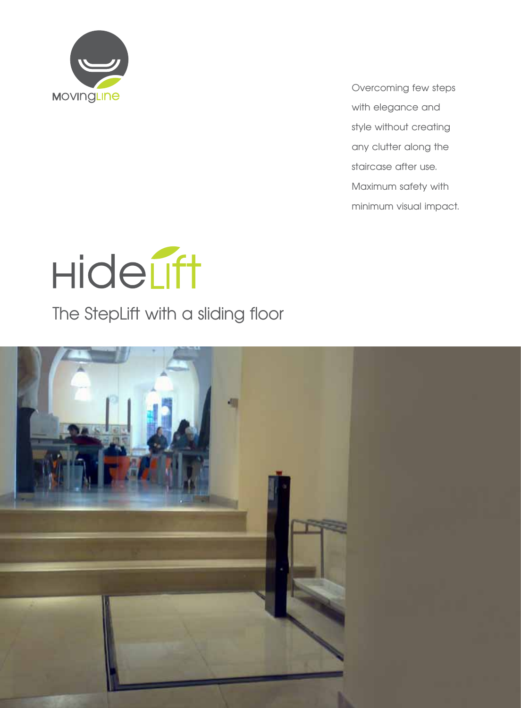

Overcoming few steps with elegance and style without creating any clutter along the staircase after use. Maximum safety with minimum visual impact.



The StepLift with a sliding floor

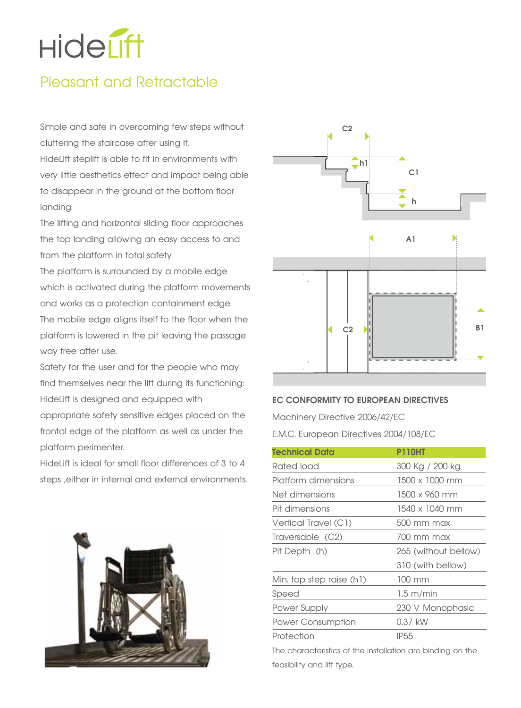# **Hideuft**

# Pleasant and Retractable

Simple and safe in overcoming few steps without cluttering the staircase after using it,

HideLift steplift is able to fit in environments with very little aesthetics effect and impact being able to disappear in the ground at the bottom floor landing.

The lifting and horizontal sliding floor approaches the top landing allowing an easy access to and from the platform in total safety

The platform is surrounded by a mobile edge which is activated during the platform movements and works as a protection containment edge. The mobile edge aligns itself to the floor when the platform is lowered in the pit leaving the passage

way free after use.

Safety for the user and for the people who may find themselves near the lift during its functioning: HideLift is designed and equipped with appropriate safety sensitive edges placed on the frontal edge of the platform as well as under the platform perimenter.

Hidel ift is ideal for small floor differences of 3 to 4 steps ,either in internal and external environments.





#### **EC CONFORMITY TO EUROPEAN DIRECTIVES**

Machinery Directive 2006/42/EC

E.M.C. European Directives 2004/108/EC

| Technical Data           | <b>P110HT</b>        |
|--------------------------|----------------------|
| Rated load               | 300 Kg / 200 kg      |
| Platform dimensions      | 1500 x 1000 mm       |
| Net dimensions           | 1500 x 960 mm        |
| Pit dimensions           | 1540 x 1040 mm       |
| Vertical Travel (C1)     | 500 mm max           |
| Traversable (C2)         | 700 mm max           |
| Pit Depth (h)            | 265 (without bellow) |
|                          | 310 (with bellow)    |
| Min. top step raise (h1) | $100 \text{ mm}$     |
| Speed                    | $1.5 \text{ m/min}$  |
| Power Supply             | 230 V Monophasic     |
| <b>Power Consumption</b> | 0,37 kW              |
| Protection               | <b>IP55</b>          |

The characteristics of the installation are binding on the feasibility and lift type.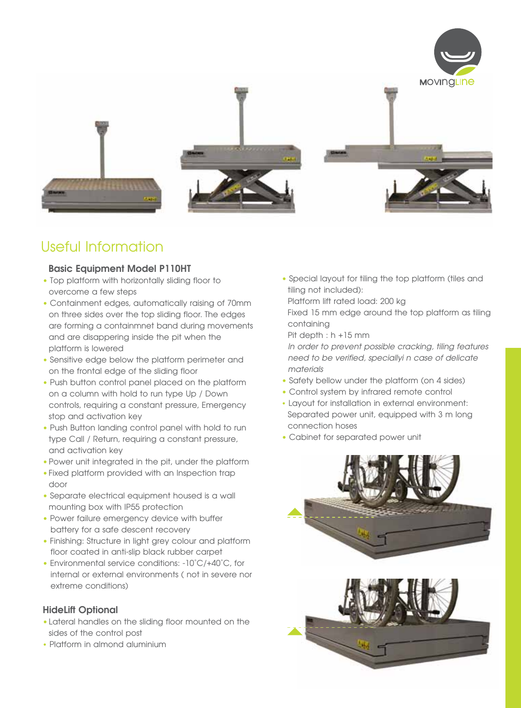

# Useful Information

#### **Basic Equipment Model P110HT**

- Top platform with horizontally sliding floor to overcome a few steps
- Containment edges, automatically raising of 70mm on three sides over the top sliding floor. The edges are forming a containmnet band during movements and are disappering inside the pit when the platform is lowered
- Sensitive edge below the platform perimeter and on the frontal edge of the sliding floor
- Push button control panel placed on the platform on a column with hold to run type Up / Down controls, requiring a constant pressure, Emergency stop and activation key
- Push Button landing control panel with hold to run type Call / Return, requiring a constant pressure, and activation key
- **•**Power unit integrated in the pit, under the platform
- **•**Fixed platform provided with an Inspection trap door
- Separate electrical equipment housed is a wall mounting box with IP55 protection
- Power failure emergency device with buffer battery for a safe descent recovery
- Finishing: Structure in light grey colour and platform floor coated in anti-slip black rubber carpet
- Environmental service conditions: -10°C/+40°C, for internal or external environments ( not in severe nor extreme conditions)

#### **HideLift Optional**

- **•**Lateral handles on the sliding floor mounted on the sides of the control post
- Platform in almond aluminium

**•** Special layout for tiling the top platform (tiles and tiling not included):

Platform lift rated load: 200 kg

Fixed 15 mm edge around the top platform as tiling containing

Pit depth : h +15 mm

*In order to prevent possible cracking, tiling features need to be verified, speciallyi n case of delicate materials*

- Safety bellow under the platform (on 4 sides)
- Control system by infrared remote control
- Layout for installation in external environment: Separated power unit, equipped with 3 m long connection hoses
- Cabinet for separated power unit

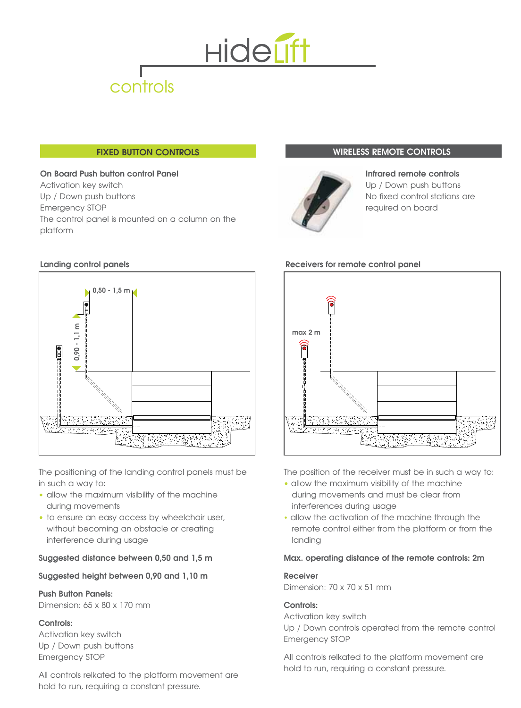

#### **FIXED BUTTON CONTROLS**

#### **On Board Push button control Panel**  Activation key switch Up / Down push buttons Emergency STOP The control panel is mounted on a column on the platform

#### **Landing control panels**



The positioning of the landing control panels must be in such a way to:

- allow the maximum visibility of the machine during movements
- to ensure an easy access by wheelchair user, without becoming an obstacle or creating interference during usage

#### **Suggested distance between 0,50 and 1,5 m**

#### **Suggested height between 0,90 and 1,10 m**

#### **Push Button Panels:**

Dimension: 65 x 80 x 170 mm

#### **Controls:**

Activation key switch Up / Down push buttons Emergency STOP

All controls relkated to the platform movement are hold to run, requiring a constant pressure.

#### **WIRELESS REMOTE CONTROLS**



**Infrared remote controls** Up / Down push buttons No fixed control stations are required on board



The position of the receiver must be in such a way to:

- allow the maximum visibility of the machine during movements and must be clear from interferences during usage
- allow the activation of the machine through the remote control either from the platform or from the landing

#### **Max. operating distance of the remote controls: 2m**

#### **Receiver**

Dimension: 70 x 70 x 51 mm

#### **Controls:**

Activation key switch Up / Down controls operated from the remote control Emergency STOP

All controls relkated to the platform movement are hold to run, requiring a constant pressure.

#### **Receivers for remote control panel**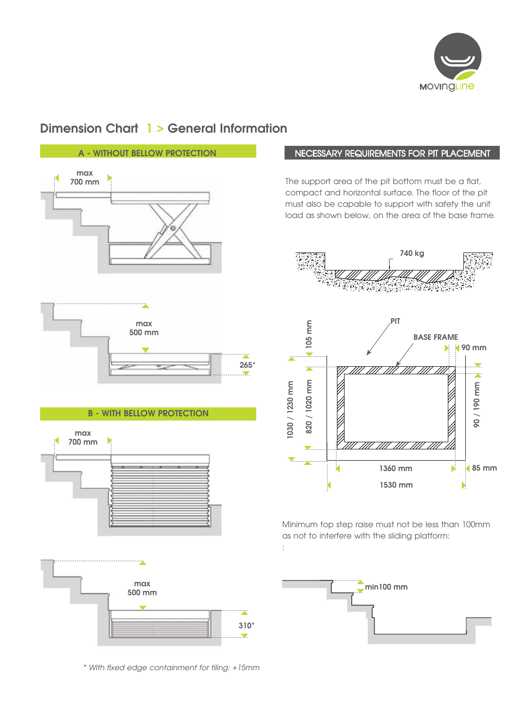

## **Dimension Chart 1 > General Information**



#### NECESSARY REQUIREMENTS FOR PIT PLACEMENT

The support area of the pit bottom must be a flat, compact and horizontal surface. The floor of the pit must also be capable to support with safety the unit load as shown below, on the area of the base frame.





Minimum top step raise must not be less than 100mm as not to interfere with the sliding platform: :



*\* With fixed edge containment for tiling: +15mm*

**310\***

a an an golf

 $\overline{\phantom{a}}$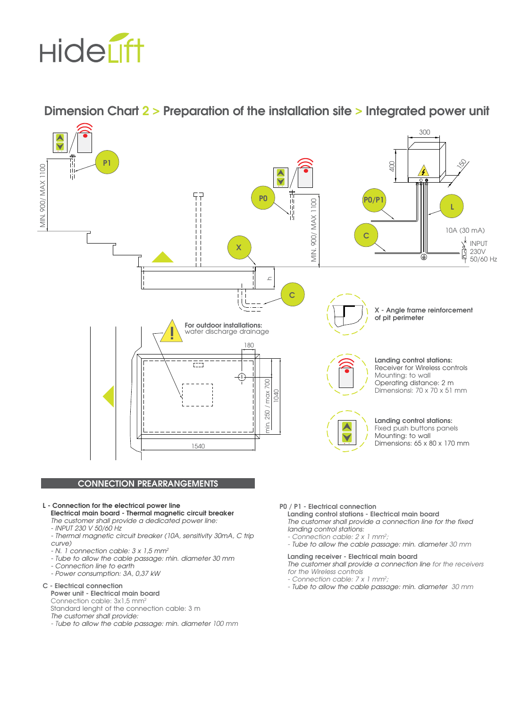

**Dimension Chart 2 > Preparation of the installation site > Integrated power unit**



#### **L - Connection for the electrical power line**

**Electrical main board - Thermal magnetic circuit breaker** *The customer shall provide a dedicated power line:* 

- *INPUT 230 V 50/60 Hz*
- *Thermal magnetic circuit breaker (10A, sensitivity 30mA, C trip curve)*
- *N. 1 connection cable: 3 x 1,5 mm2*
- *Tube to allow the cable passage: min. diameter 30 mm*
- *Connection line to earth*
- *Power consumption: 3A, 0,37 kW*

#### **C - Electrical connection**

#### **Power unit - Electrical main board**

Connection cable: 3x1,5 mm<sup>2</sup> Standard lenght of the connection cable: 3 m *The customer shall provide:*

*- Tube to allow the cable passage: min. diameter 100 mm*

**P0 / P1 - Electrical connection**

**Landing control stations - Electrical main board** *The customer shall provide a connection line for the fixed landing control stations:*

- *Connection cable: 2 x 1 mm2 ;*
- *Tube to allow the cable passage: min. diameter 30 mm*

#### **Landing receiver - Electrical main board**

*The customer shall provide a connection line for the receivers for the Wireless controls* 

- *Connection cable: 7 x 1 mm2 ;*
- *Tube to allow the cable passage: min. diameter 30 mm*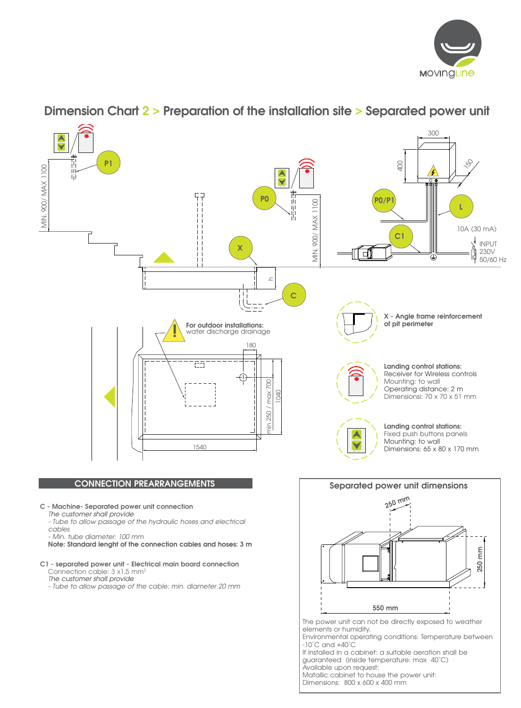



### **Dimension Chart 2 > Preparation of the installation site > Separated power unit**

Matallic cabinet to house the power unit: Dimensions: 800 x 600 x 400 mm